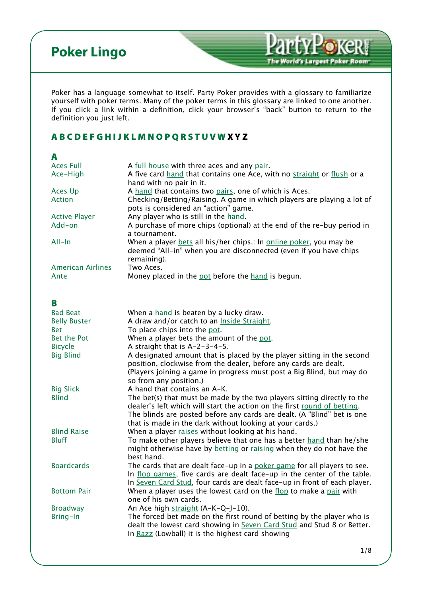<span id="page-0-4"></span>Poker has a language somewhat to itself. Party Poker provides with a glossary to familiarize yourself with poker terms. Many of the poker terms in this glossary are linked to one another. If you click a link within a definition, click your browser's "back" button to return to the definition you just left.

**Party Poke** 

The World's Largest Poker Room

#### [A](#page-0-0) [B](#page-0-1) [C](#page-1-0) [D](#page-1-1) [E](#page-1-2) [F](#page-2-0) [G](#page-2-1) [H](#page-2-2) [I](#page-3-0) [J](#page-3-1) [K](#page-3-2) [L](#page-3-3) [M](#page-4-0) [N](#page-4-1) [O](#page-4-2) [P](#page-4-3) [Q](#page-5-0) [R](#page-5-1) [S](#page-5-2) [T](#page-6-0) [U](#page-6-1)[V W](#page-7-0) X Y Z

<span id="page-0-6"></span><span id="page-0-5"></span><span id="page-0-3"></span><span id="page-0-2"></span><span id="page-0-1"></span><span id="page-0-0"></span>

| A                        |                                                                                                                                                                     |
|--------------------------|---------------------------------------------------------------------------------------------------------------------------------------------------------------------|
| <b>Aces Full</b>         | A full house with three aces and any pair.                                                                                                                          |
| Ace-High                 | A five card hand that contains one Ace, with no straight or flush or a<br>hand with no pair in it.                                                                  |
| Aces Up                  | A hand that contains two pairs, one of which is Aces.                                                                                                               |
| Action                   | Checking/Betting/Raising. A game in which players are playing a lot of<br>pots is considered an "action" game.                                                      |
| <b>Active Player</b>     | Any player who is still in the hand.                                                                                                                                |
| Add-on                   | A purchase of more chips (optional) at the end of the re-buy period in<br>a tournament.                                                                             |
| All-In                   | When a player bets all his/her chips.: In online poker, you may be<br>deemed "All-in" when you are disconnected (even if you have chips<br>remaining).              |
| <b>American Airlines</b> | Two Aces.                                                                                                                                                           |
| Ante                     | Money placed in the pot before the hand is begun.                                                                                                                   |
|                          |                                                                                                                                                                     |
| В                        |                                                                                                                                                                     |
| <b>Bad Beat</b>          | When a hand is beaten by a lucky draw.                                                                                                                              |
| <b>Belly Buster</b>      | A draw and/or catch to an Inside Straight.                                                                                                                          |
| <b>Bet</b>               | To place chips into the pot.                                                                                                                                        |
| Bet the Pot              | When a player bets the amount of the pot.                                                                                                                           |
| <b>Bicycle</b>           | A straight that is A-2-3-4-5.                                                                                                                                       |
| <b>Big Blind</b>         | A designated amount that is placed by the player sitting in the second                                                                                              |
|                          | position, clockwise from the dealer, before any cards are dealt.<br>(Players joining a game in progress must post a Big Blind, but may do<br>so from any position.) |
| <b>Big Slick</b>         | A hand that contains an A-K.                                                                                                                                        |
| <b>Blind</b>             | The bet(s) that must be made by the two players sitting directly to the                                                                                             |
|                          | dealer's left which will start the action on the first round of betting.                                                                                            |
|                          | The blinds are posted before any cards are dealt. (A "Blind" bet is one                                                                                             |
|                          | that is made in the dark without looking at your cards.)                                                                                                            |
| <b>Blind Raise</b>       | When a player raises without looking at his hand.                                                                                                                   |
| <b>Bluff</b>             | To make other players believe that one has a better hand than he/she                                                                                                |
|                          | might otherwise have by betting or raising when they do not have the                                                                                                |
|                          | best hand.                                                                                                                                                          |
| <b>Boardcards</b>        | The cards that are dealt face-up in a poker game for all players to see                                                                                             |
|                          | In flop games, five cards are dealt face-up in the center of the table.                                                                                             |
|                          | In Seven Card Stud, four cards are dealt face-up in front of each player.                                                                                           |
| <b>Bottom Pair</b>       | When a player uses the lowest card on the flop to make a pair with                                                                                                  |
|                          | one of his own cards.                                                                                                                                               |
| <b>Broadway</b>          | An Ace high straight (A-K-Q-J-10).                                                                                                                                  |
| Bring-In                 | The forced bet made on the first round of betting by the player who is<br>dealt the lowest card showing in Seven Card Stud and Stud 8 or Better.                    |
|                          | In Razz (Lowball) it is the highest card showing                                                                                                                    |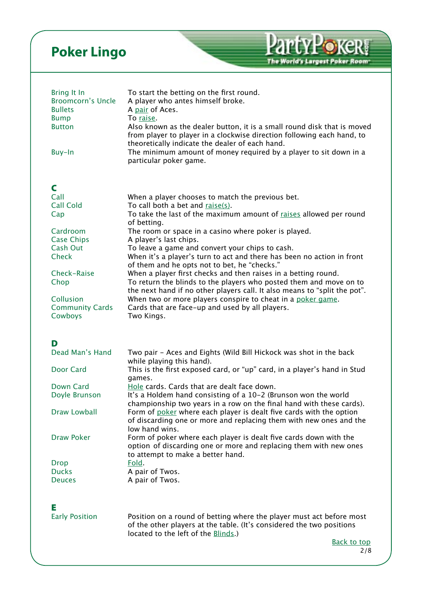<span id="page-1-7"></span><span id="page-1-6"></span><span id="page-1-5"></span><span id="page-1-4"></span><span id="page-1-3"></span><span id="page-1-2"></span><span id="page-1-1"></span><span id="page-1-0"></span>

| Bring It In<br><b>Broomcorn's Uncle</b><br><b>Bullets</b><br><b>Bump</b><br><b>Button</b><br>Buy-In | To start the betting on the first round.<br>A player who antes himself broke.<br>A pair of Aces.<br>To raise.<br>Also known as the dealer button, it is a small round disk that is moved<br>from player to player in a clockwise direction following each hand, to<br>theoretically indicate the dealer of each hand.<br>The minimum amount of money required by a player to sit down in a<br>particular poker game. |
|-----------------------------------------------------------------------------------------------------|----------------------------------------------------------------------------------------------------------------------------------------------------------------------------------------------------------------------------------------------------------------------------------------------------------------------------------------------------------------------------------------------------------------------|
| C                                                                                                   |                                                                                                                                                                                                                                                                                                                                                                                                                      |
| Call<br><b>Call Cold</b><br>Cap                                                                     | When a player chooses to match the previous bet.<br>To call both a bet and raise(s).<br>To take the last of the maximum amount of raises allowed per round                                                                                                                                                                                                                                                           |
| Cardroom                                                                                            | of betting.<br>The room or space in a casino where poker is played.                                                                                                                                                                                                                                                                                                                                                  |
| <b>Case Chips</b><br>Cash Out<br><b>Check</b>                                                       | A player's last chips.<br>To leave a game and convert your chips to cash.<br>When it's a player's turn to act and there has been no action in front<br>of them and he opts not to bet, he "checks."                                                                                                                                                                                                                  |
| Check-Raise<br>Chop                                                                                 | When a player first checks and then raises in a betting round.<br>To return the blinds to the players who posted them and move on to                                                                                                                                                                                                                                                                                 |
| Collusion<br><b>Community Cards</b><br>Cowboys                                                      | the next hand if no other players call. It also means to "split the pot".<br>When two or more players conspire to cheat in a poker game.<br>Cards that are face-up and used by all players.<br>Two Kings.                                                                                                                                                                                                            |
|                                                                                                     |                                                                                                                                                                                                                                                                                                                                                                                                                      |
| D<br>Dead Man's Hand                                                                                | Two pair - Aces and Eights (Wild Bill Hickock was shot in the back<br>while playing this hand).                                                                                                                                                                                                                                                                                                                      |
| Door Card                                                                                           | This is the first exposed card, or "up" card, in a player's hand in Stud<br>games.                                                                                                                                                                                                                                                                                                                                   |
| Down Card<br>Doyle Brunson                                                                          | Hole cards. Cards that are dealt face down.<br>It's a Holdem hand consisting of a 10-2 (Brunson won the world                                                                                                                                                                                                                                                                                                        |
| Draw Lowball                                                                                        | championship two years in a row on the final hand with these cards).<br>Form of poker where each player is dealt five cards with the option<br>of discarding one or more and replacing them with new ones and the                                                                                                                                                                                                    |
| <b>Draw Poker</b>                                                                                   | low hand wins.<br>Form of poker where each player is dealt five cards down with the<br>option of discarding one or more and replacing them with new ones<br>to attempt to make a better hand.                                                                                                                                                                                                                        |
| <b>Drop</b><br><b>Ducks</b><br><b>Deuces</b>                                                        | Fold.<br>A pair of Twos.<br>A pair of Twos.                                                                                                                                                                                                                                                                                                                                                                          |
|                                                                                                     |                                                                                                                                                                                                                                                                                                                                                                                                                      |
| Е<br><b>Early Position</b>                                                                          | Position on a round of betting where the player must act before most<br>of the other players at the table. (It's considered the two positions<br>located to the left of the Blinds.)                                                                                                                                                                                                                                 |
|                                                                                                     | <b>Back to top</b><br>2/8                                                                                                                                                                                                                                                                                                                                                                                            |

PartyPokeR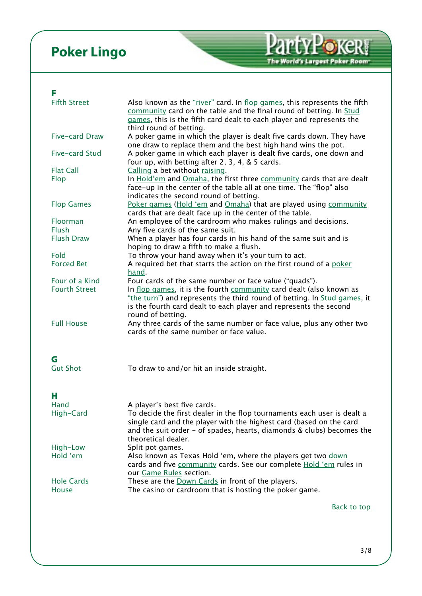#### <span id="page-2-0"></span>F

<span id="page-2-11"></span><span id="page-2-10"></span><span id="page-2-9"></span><span id="page-2-8"></span><span id="page-2-7"></span><span id="page-2-6"></span><span id="page-2-5"></span><span id="page-2-4"></span><span id="page-2-3"></span><span id="page-2-2"></span><span id="page-2-1"></span>

| <b>Fifth Street</b>      | Also known as the "river" card. In flop games, this represents the fifth<br>community card on the table and the final round of betting. In Stud<br>games, this is the fifth card dealt to each player and represents the<br>third round of betting. |
|--------------------------|-----------------------------------------------------------------------------------------------------------------------------------------------------------------------------------------------------------------------------------------------------|
| Five-card Draw           | A poker game in which the player is dealt five cards down. They have<br>one draw to replace them and the best high hand wins the pot.                                                                                                               |
| Five-card Stud           | A poker game in which each player is dealt five cards, one down and<br>four up, with betting after 2, 3, 4, & 5 cards.                                                                                                                              |
| <b>Flat Call</b>         | Calling a bet without raising.                                                                                                                                                                                                                      |
| Flop                     | In Hold'em and Omaha, the first three community cards that are dealt<br>face-up in the center of the table all at one time. The "flop" also<br>indicates the second round of betting.                                                               |
| <b>Flop Games</b>        | Poker games (Hold 'em and Omaha) that are played using community<br>cards that are dealt face up in the center of the table.                                                                                                                        |
| Floorman<br><b>Flush</b> | An employee of the cardroom who makes rulings and decisions.                                                                                                                                                                                        |
| <b>Flush Draw</b>        | Any five cards of the same suit.<br>When a player has four cards in his hand of the same suit and is<br>hoping to draw a fifth to make a flush.                                                                                                     |
| Fold                     | To throw your hand away when it's your turn to act.                                                                                                                                                                                                 |
| <b>Forced Bet</b>        | A required bet that starts the action on the first round of a poker<br>hand.                                                                                                                                                                        |
| Four of a Kind           | Four cards of the same number or face value ("quads").                                                                                                                                                                                              |
| <b>Fourth Street</b>     | In flop games, it is the fourth community card dealt (also known as<br>"the turn") and represents the third round of betting. In Stud games, it<br>is the fourth card dealt to each player and represents the second<br>round of betting.           |
| <b>Full House</b>        | Any three cards of the same number or face value, plus any other two<br>cards of the same number or face value.                                                                                                                                     |
| G                        |                                                                                                                                                                                                                                                     |
| <b>Gut Shot</b>          | To draw to and/or hit an inside straight.                                                                                                                                                                                                           |
| н                        |                                                                                                                                                                                                                                                     |
| Hand                     | A player's best five cards.                                                                                                                                                                                                                         |
| High-Card                | To decide the first dealer in the flop tournaments each user is dealt a<br>single card and the player with the highest card (based on the card<br>and the suit order - of spades, hearts, diamonds & clubs) becomes the<br>theoretical dealer.      |
| High-Low                 | Split pot games.                                                                                                                                                                                                                                    |
| Hold 'em                 | Also known as Texas Hold 'em, where the players get two down<br>cards and five community cards. See our complete Hold 'em rules in<br>our Game Rules section.                                                                                       |
| <b>Hole Cards</b>        | These are the Down Cards in front of the players.                                                                                                                                                                                                   |
| <b>House</b>             | The casino or cardroom that is hosting the poker game.                                                                                                                                                                                              |
|                          | <b>Back to top</b>                                                                                                                                                                                                                                  |

PartyPoker

The World's Largest Poker Room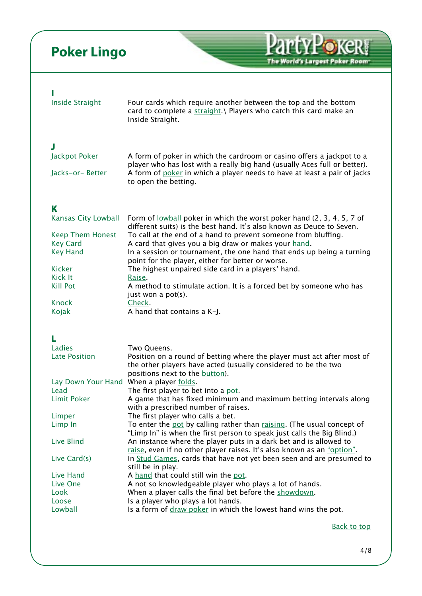<span id="page-3-6"></span><span id="page-3-5"></span><span id="page-3-4"></span><span id="page-3-3"></span><span id="page-3-2"></span><span id="page-3-1"></span><span id="page-3-0"></span>

| <b>Inside Straight</b>                                                                                                                                                                                          | Four cards which require another between the top and the bottom<br>card to complete a straight.   Players who catch this card make an<br>Inside Straight.                                                                                                                                                                                                                                                                                                                                                                                                                                                                                                                                                                                                                                                                                                                                                                                                                                                                                              |
|-----------------------------------------------------------------------------------------------------------------------------------------------------------------------------------------------------------------|--------------------------------------------------------------------------------------------------------------------------------------------------------------------------------------------------------------------------------------------------------------------------------------------------------------------------------------------------------------------------------------------------------------------------------------------------------------------------------------------------------------------------------------------------------------------------------------------------------------------------------------------------------------------------------------------------------------------------------------------------------------------------------------------------------------------------------------------------------------------------------------------------------------------------------------------------------------------------------------------------------------------------------------------------------|
| J<br>Jackpot Poker<br>Jacks-or-Better                                                                                                                                                                           | A form of poker in which the cardroom or casino offers a jackpot to a<br>player who has lost with a really big hand (usually Aces full or better).<br>A form of poker in which a player needs to have at least a pair of jacks<br>to open the betting.                                                                                                                                                                                                                                                                                                                                                                                                                                                                                                                                                                                                                                                                                                                                                                                                 |
| K<br>Kansas City Lowball<br><b>Keep Them Honest</b><br><b>Key Card</b><br><b>Key Hand</b><br><b>Kicker</b><br>Kick It<br><b>Kill Pot</b><br>Knock<br>Kojak                                                      | Form of <u>lowball</u> poker in which the worst poker hand (2, 3, 4, 5, 7 of<br>different suits) is the best hand. It's also known as Deuce to Seven.<br>To call at the end of a hand to prevent someone from bluffing.<br>A card that gives you a big draw or makes your hand.<br>In a session or tournament, the one hand that ends up being a turning<br>point for the player, either for better or worse.<br>The highest unpaired side card in a players' hand.<br>Raise.<br>A method to stimulate action. It is a forced bet by someone who has<br>just won a pot(s).<br>Check.<br>A hand that contains a K-J.                                                                                                                                                                                                                                                                                                                                                                                                                                    |
| Ladies<br><b>Late Position</b><br>Lay Down Your Hand When a player folds.<br>Lead<br><b>Limit Poker</b><br>Limper<br>Limp In<br>Live Blind<br>Live Card(s)<br>Live Hand<br>Live One<br>Look<br>Loose<br>Lowball | Two Queens.<br>Position on a round of betting where the player must act after most of<br>the other players have acted (usually considered to be the two<br>positions next to the button).<br>The first player to bet into a pot.<br>A game that has fixed minimum and maximum betting intervals along<br>with a prescribed number of raises.<br>The first player who calls a bet.<br>To enter the pot by calling rather than raising. (The usual concept of<br>"Limp In" is when the first person to speak just calls the Big Blind.)<br>An instance where the player puts in a dark bet and is allowed to<br>raise, even if no other player raises. It's also known as an "option".<br>In Stud Games, cards that have not yet been seen and are presumed to<br>still be in play.<br>A hand that could still win the pot.<br>A not so knowledgeable player who plays a lot of hands.<br>When a player calls the final bet before the showdown.<br>Is a player who plays a lot hands.<br>Is a form of draw poker in which the lowest hand wins the pot. |
|                                                                                                                                                                                                                 | <b>Back to top</b>                                                                                                                                                                                                                                                                                                                                                                                                                                                                                                                                                                                                                                                                                                                                                                                                                                                                                                                                                                                                                                     |

PartyPokeR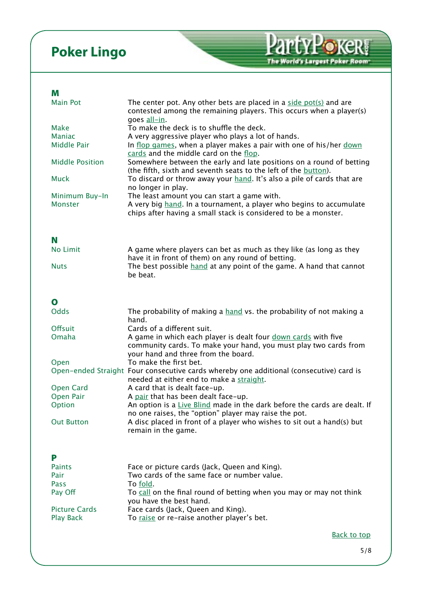#### <span id="page-4-0"></span>M

<span id="page-4-6"></span><span id="page-4-5"></span><span id="page-4-4"></span><span id="page-4-3"></span><span id="page-4-2"></span><span id="page-4-1"></span>

| <b>Main Pot</b>        | The center pot. Any other bets are placed in a side pot(s) and are<br>contested among the remaining players. This occurs when a player(s)<br>goes all-in. |
|------------------------|-----------------------------------------------------------------------------------------------------------------------------------------------------------|
| Make                   | To make the deck is to shuffle the deck.                                                                                                                  |
| <b>Maniac</b>          | A very aggressive player who plays a lot of hands.                                                                                                        |
| Middle Pair            | In flop games, when a player makes a pair with one of his/her down                                                                                        |
|                        |                                                                                                                                                           |
|                        | cards and the middle card on the flop.                                                                                                                    |
| <b>Middle Position</b> | Somewhere between the early and late positions on a round of betting                                                                                      |
|                        | (the fifth, sixth and seventh seats to the left of the button).                                                                                           |
| <b>Muck</b>            | To discard or throw away your hand. It's also a pile of cards that are                                                                                    |
|                        | no longer in play.                                                                                                                                        |
| Minimum Buy-In         | The least amount you can start a game with.                                                                                                               |
|                        |                                                                                                                                                           |
| <b>Monster</b>         | A very big hand. In a tournament, a player who begins to accumulate                                                                                       |
|                        | chips after having a small stack is considered to be a monster.                                                                                           |
|                        |                                                                                                                                                           |
|                        |                                                                                                                                                           |
| N                      |                                                                                                                                                           |
| No Limit               | A game where players can bet as much as they like (as long as they                                                                                        |
|                        |                                                                                                                                                           |
|                        | have it in front of them) on any round of betting.                                                                                                        |
| <b>Nuts</b>            | The best possible hand at any point of the game. A hand that cannot                                                                                       |
|                        | be beat.                                                                                                                                                  |
|                        |                                                                                                                                                           |
|                        |                                                                                                                                                           |
| O                      |                                                                                                                                                           |
|                        |                                                                                                                                                           |
| <b>Odds</b>            | The probability of making a hand vs. the probability of not making a                                                                                      |
|                        | hand.                                                                                                                                                     |
| <b>Offsuit</b>         | Cards of a different suit.                                                                                                                                |
| Omaha                  | A game in which each player is dealt four down cards with five                                                                                            |
|                        | community cards. To make your hand, you must play two cards from                                                                                          |
|                        |                                                                                                                                                           |
|                        | your hand and three from the board.                                                                                                                       |
| Open                   | To make the first bet.                                                                                                                                    |
|                        | Open-ended Straight Four consecutive cards whereby one additional (consecutive) card is                                                                   |
|                        | needed at either end to make a straight.                                                                                                                  |
| <b>Open Card</b>       | A card that is dealt face-up.                                                                                                                             |
|                        |                                                                                                                                                           |
| Open Pair              | A pair that has been dealt face-up.                                                                                                                       |
| Option                 | An option is a Live Blind made in the dark before the cards are dealt. If                                                                                 |
|                        | no one raises, the "option" player may raise the pot.                                                                                                     |
| <b>Out Button</b>      | A disc placed in front of a player who wishes to sit out a hand(s) but                                                                                    |
|                        | remain in the game.                                                                                                                                       |
|                        |                                                                                                                                                           |
|                        |                                                                                                                                                           |
| P                      |                                                                                                                                                           |
|                        |                                                                                                                                                           |
| <b>Paints</b>          | Face or picture cards (Jack, Queen and King).                                                                                                             |
| Pair                   | Two cards of the same face or number value.                                                                                                               |
| Pass                   | To fold.                                                                                                                                                  |
| Pay Off                | To call on the final round of betting when you may or may not think                                                                                       |
|                        |                                                                                                                                                           |
|                        | you have the best hand.                                                                                                                                   |
| <b>Picture Cards</b>   | Face cards (Jack, Queen and King).                                                                                                                        |
| <b>Play Back</b>       | To raise or re-raise another player's bet.                                                                                                                |
|                        |                                                                                                                                                           |
|                        | <b>Back to top</b>                                                                                                                                        |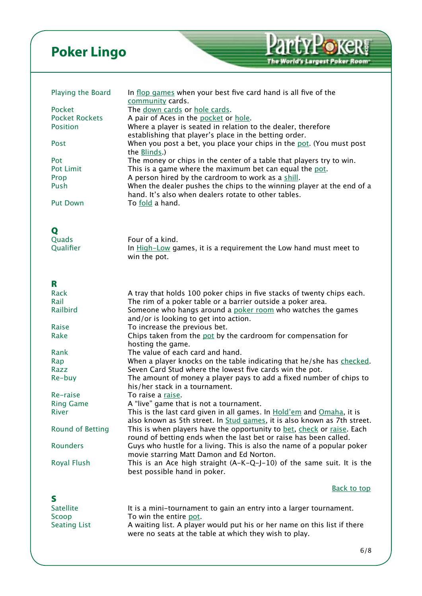<span id="page-5-9"></span><span id="page-5-8"></span><span id="page-5-3"></span><span id="page-5-1"></span><span id="page-5-0"></span>

| Playing the Board               | In flop games when your best five card hand is all five of the                                                          |
|---------------------------------|-------------------------------------------------------------------------------------------------------------------------|
|                                 | community cards.                                                                                                        |
| Pocket<br><b>Pocket Rockets</b> | The down cards or hole cards.                                                                                           |
| <b>Position</b>                 | A pair of Aces in the pocket or hole.                                                                                   |
|                                 | Where a player is seated in relation to the dealer, therefore<br>establishing that player's place in the betting order. |
| Post                            | When you post a bet, you place your chips in the pot. (You must post                                                    |
|                                 | the <b>Blinds</b> .)                                                                                                    |
| Pot                             | The money or chips in the center of a table that players try to win.                                                    |
| Pot Limit                       | This is a game where the maximum bet can equal the pot.                                                                 |
| Prop                            | A person hired by the cardroom to work as a shill.                                                                      |
| Push                            | When the dealer pushes the chips to the winning player at the end of a                                                  |
|                                 | hand. It's also when dealers rotate to other tables.                                                                    |
| <b>Put Down</b>                 | To fold a hand.                                                                                                         |
|                                 |                                                                                                                         |
|                                 |                                                                                                                         |
| Q                               |                                                                                                                         |
| Quads                           | Four of a kind.                                                                                                         |
| Qualifier                       | In High-Low games, it is a requirement the Low hand must meet to                                                        |
|                                 | win the pot.                                                                                                            |
|                                 |                                                                                                                         |
| R                               |                                                                                                                         |
| Rack                            | A tray that holds 100 poker chips in five stacks of twenty chips each.                                                  |
| Rail                            | The rim of a poker table or a barrier outside a poker area.                                                             |
| Railbird                        | Someone who hangs around a poker room who watches the games                                                             |
|                                 | and/or is looking to get into action.                                                                                   |
| Raise                           | To increase the previous bet.                                                                                           |
| Rake                            | Chips taken from the pot by the cardroom for compensation for                                                           |
|                                 | hosting the game.                                                                                                       |
| Rank                            | The value of each card and hand.                                                                                        |
| Rap                             | When a player knocks on the table indicating that he/she has checked.                                                   |
| Razz                            | Seven Card Stud where the lowest five cards win the pot.                                                                |
| Re-buy                          | The amount of money a player pays to add a fixed number of chips to                                                     |
|                                 | his/her stack in a tournament.                                                                                          |
| Re-raise                        | To raise a raise.                                                                                                       |
| <b>Ring Game</b>                | A "live" game that is not a tournament.                                                                                 |
| River                           | This is the last card given in all games. In Hold'em and Omaha, it is                                                   |
|                                 | also known as 5th street. In Stud games, it is also known as 7th street.                                                |
| Round of Betting                | This is when players have the opportunity to bet, check or raise. Each                                                  |
|                                 | round of betting ends when the last bet or raise has been called.                                                       |
| <b>Rounders</b>                 | Guys who hustle for a living. This is also the name of a popular poker                                                  |
|                                 | movie starring Matt Damon and Ed Norton.                                                                                |
| Royal Flush                     | This is an Ace high straight $(A-K-Q-J-10)$ of the same suit. It is the                                                 |
|                                 | best possible hand in poker.                                                                                            |
|                                 | <b>Back to top</b>                                                                                                      |
| S                               |                                                                                                                         |
| <b>Satellite</b>                | It is a mini-tournament to gain an entry into a larger tournament.                                                      |
| Scoop                           | To win the entire pot.                                                                                                  |
| <b>Seating List</b>             | A waiting list. A player would put his or her name on this list if there                                                |

<span id="page-5-7"></span><span id="page-5-6"></span><span id="page-5-5"></span><span id="page-5-4"></span><span id="page-5-2"></span>were no seats at the table at which they wish to play.

**PartyPoker** 

The World's Largest Poker Room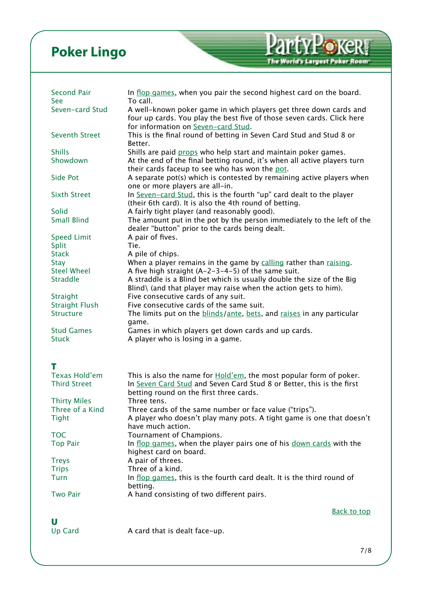<span id="page-6-8"></span><span id="page-6-7"></span><span id="page-6-6"></span><span id="page-6-5"></span><span id="page-6-4"></span><span id="page-6-3"></span><span id="page-6-2"></span><span id="page-6-1"></span><span id="page-6-0"></span>

| <b>Second Pair</b>                                    | In flop games, when you pair the second highest card on the board.                                                                                                                                        |
|-------------------------------------------------------|-----------------------------------------------------------------------------------------------------------------------------------------------------------------------------------------------------------|
| See<br>Seven-card Stud                                | To call.<br>A well-known poker game in which players get three down cards and<br>four up cards. You play the best five of those seven cards. Click here                                                   |
| <b>Seventh Street</b>                                 | for information on Seven-card Stud.<br>This is the final round of betting in Seven Card Stud and Stud 8 or<br>Better.                                                                                     |
| <b>Shills</b><br>Showdown                             | Shills are paid props who help start and maintain poker games.<br>At the end of the final betting round, it's when all active players turn<br>their cards faceup to see who has won the pot.              |
| <b>Side Pot</b>                                       | A separate pot(s) which is contested by remaining active players when<br>one or more players are all-in.                                                                                                  |
| <b>Sixth Street</b>                                   | In Seven-card Stud, this is the fourth "up" card dealt to the player<br>(their 6th card). It is also the 4th round of betting.                                                                            |
| Solid<br><b>Small Blind</b>                           | A fairly tight player (and reasonably good).<br>The amount put in the pot by the person immediately to the left of the<br>dealer "button" prior to the cards being dealt.                                 |
| <b>Speed Limit</b><br>Split<br><b>Stack</b>           | A pair of fives.<br>Tie.<br>A pile of chips.                                                                                                                                                              |
| Stay                                                  | When a player remains in the game by calling rather than raising.                                                                                                                                         |
| <b>Steel Wheel</b><br><b>Straddle</b>                 | A five high straight $(A-2-3-4-5)$ of the same suit.<br>A straddle is a Blind bet which is usually double the size of the Big<br>Blind $\langle$ (and that player may raise when the action gets to him). |
| Straight<br><b>Straight Flush</b><br><b>Structure</b> | Five consecutive cards of any suit.<br>Five consecutive cards of the same suit.<br>The limits put on the <b>blinds/ante</b> , bets, and raises in any particular                                          |
| <b>Stud Games</b>                                     | game.<br>Games in which players get down cards and up cards.                                                                                                                                              |
| <b>Stuck</b>                                          | A player who is losing in a game.                                                                                                                                                                         |
| т                                                     |                                                                                                                                                                                                           |
| <b>Texas Hold'em</b><br><b>Third Street</b>           | This is also the name for <b>Hold'em</b> , the most popular form of poker.<br>In Seven Card Stud and Seven Card Stud 8 or Better, this is the first<br>betting round on the first three cards.            |
| <b>Thirty Miles</b><br>Three of a Kind                | Three tens.<br>Three cards of the same number or face value ("trips").                                                                                                                                    |
| <b>Tight</b>                                          | A player who doesn't play many pots. A tight game is one that doesn't<br>have much action.                                                                                                                |
| <b>TOC</b>                                            | Tournament of Champions.                                                                                                                                                                                  |
| <b>Top Pair</b>                                       | In flop games, when the player pairs one of his down cards with the<br>highest card on board.                                                                                                             |
| <b>Treys</b><br><b>Trips</b>                          | A pair of threes.<br>Three of a kind.                                                                                                                                                                     |
| Turn                                                  | In flop games, this is the fourth card dealt. It is the third round of                                                                                                                                    |
| <b>Two Pair</b>                                       | betting.<br>A hand consisting of two different pairs.                                                                                                                                                     |
|                                                       | <b>Back to top</b>                                                                                                                                                                                        |
| U<br><b>Up Card</b>                                   | A card that is dealt face-up.                                                                                                                                                                             |

PartyPoker